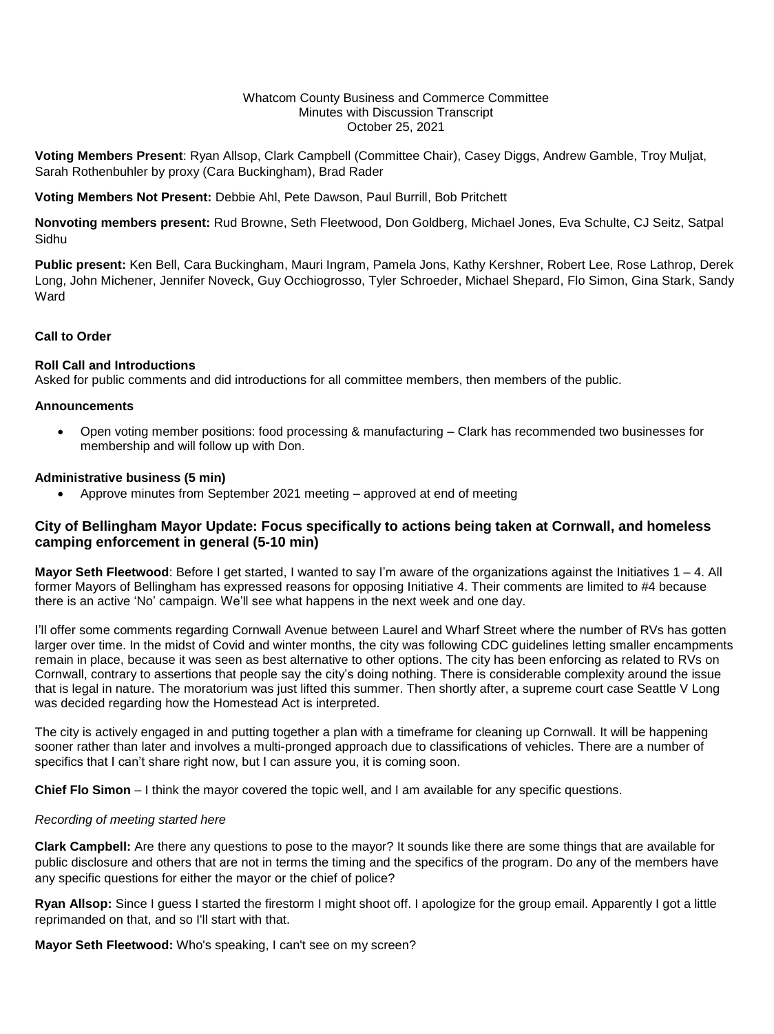#### Whatcom County Business and Commerce Committee Minutes with Discussion Transcript October 25, 2021

**Voting Members Present**: Ryan Allsop, Clark Campbell (Committee Chair), Casey Diggs, Andrew Gamble, Troy Muljat, Sarah Rothenbuhler by proxy (Cara Buckingham), Brad Rader

**Voting Members Not Present:** Debbie Ahl, Pete Dawson, Paul Burrill, Bob Pritchett

**Nonvoting members present:** Rud Browne, Seth Fleetwood, Don Goldberg, Michael Jones, Eva Schulte, CJ Seitz, Satpal Sidhu

**Public present:** Ken Bell, Cara Buckingham, Mauri Ingram, Pamela Jons, Kathy Kershner, Robert Lee, Rose Lathrop, Derek Long, John Michener, Jennifer Noveck, Guy Occhiogrosso, Tyler Schroeder, Michael Shepard, Flo Simon, Gina Stark, Sandy Ward

## **Call to Order**

#### **Roll Call and Introductions**

Asked for public comments and did introductions for all committee members, then members of the public.

#### **Announcements**

 Open voting member positions: food processing & manufacturing – Clark has recommended two businesses for membership and will follow up with Don.

#### **Administrative business (5 min)**

Approve minutes from September 2021 meeting – approved at end of meeting

## **City of Bellingham Mayor Update: Focus specifically to actions being taken at Cornwall, and homeless camping enforcement in general (5-10 min)**

**Mayor Seth Fleetwood**: Before I get started, I wanted to say I'm aware of the organizations against the Initiatives 1 – 4. All former Mayors of Bellingham has expressed reasons for opposing Initiative 4. Their comments are limited to #4 because there is an active 'No' campaign. We'll see what happens in the next week and one day.

I'll offer some comments regarding Cornwall Avenue between Laurel and Wharf Street where the number of RVs has gotten larger over time. In the midst of Covid and winter months, the city was following CDC guidelines letting smaller encampments remain in place, because it was seen as best alternative to other options. The city has been enforcing as related to RVs on Cornwall, contrary to assertions that people say the city's doing nothing. There is considerable complexity around the issue that is legal in nature. The moratorium was just lifted this summer. Then shortly after, a supreme court case Seattle V Long was decided regarding how the Homestead Act is interpreted.

The city is actively engaged in and putting together a plan with a timeframe for cleaning up Cornwall. It will be happening sooner rather than later and involves a multi-pronged approach due to classifications of vehicles. There are a number of specifics that I can't share right now, but I can assure you, it is coming soon.

**Chief Flo Simon** – I think the mayor covered the topic well, and I am available for any specific questions.

### *Recording of meeting started here*

**Clark Campbell:** Are there any questions to pose to the mayor? It sounds like there are some things that are available for public disclosure and others that are not in terms the timing and the specifics of the program. Do any of the members have any specific questions for either the mayor or the chief of police?

**Ryan Allsop:** Since I guess I started the firestorm I might shoot off. I apologize for the group email. Apparently I got a little reprimanded on that, and so I'll start with that.

**Mayor Seth Fleetwood:** Who's speaking, I can't see on my screen?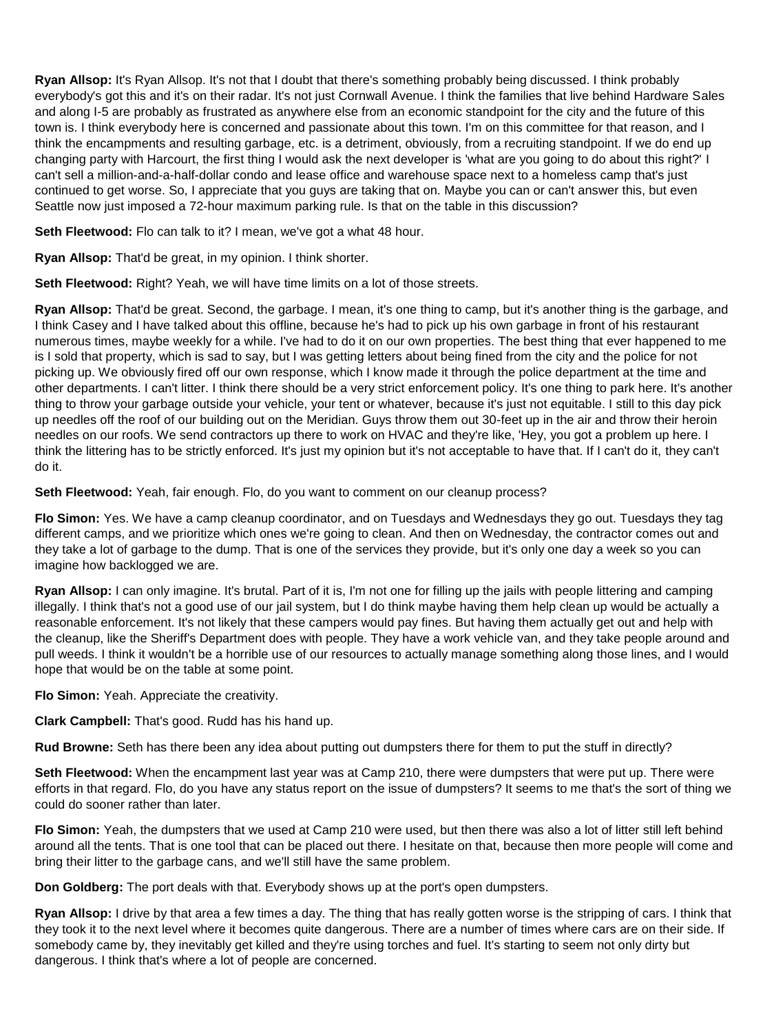**Ryan Allsop:** It's Ryan Allsop. It's not that I doubt that there's something probably being discussed. I think probably everybody's got this and it's on their radar. It's not just Cornwall Avenue. I think the families that live behind Hardware Sales and along I-5 are probably as frustrated as anywhere else from an economic standpoint for the city and the future of this town is. I think everybody here is concerned and passionate about this town. I'm on this committee for that reason, and I think the encampments and resulting garbage, etc. is a detriment, obviously, from a recruiting standpoint. If we do end up changing party with Harcourt, the first thing I would ask the next developer is 'what are you going to do about this right?' I can't sell a million-and-a-half-dollar condo and lease office and warehouse space next to a homeless camp that's just continued to get worse. So, I appreciate that you guys are taking that on. Maybe you can or can't answer this, but even Seattle now just imposed a 72-hour maximum parking rule. Is that on the table in this discussion?

**Seth Fleetwood:** Flo can talk to it? I mean, we've got a what 48 hour.

**Ryan Allsop:** That'd be great, in my opinion. I think shorter.

**Seth Fleetwood:** Right? Yeah, we will have time limits on a lot of those streets.

**Ryan Allsop:** That'd be great. Second, the garbage. I mean, it's one thing to camp, but it's another thing is the garbage, and I think Casey and I have talked about this offline, because he's had to pick up his own garbage in front of his restaurant numerous times, maybe weekly for a while. I've had to do it on our own properties. The best thing that ever happened to me is I sold that property, which is sad to say, but I was getting letters about being fined from the city and the police for not picking up. We obviously fired off our own response, which I know made it through the police department at the time and other departments. I can't litter. I think there should be a very strict enforcement policy. It's one thing to park here. It's another thing to throw your garbage outside your vehicle, your tent or whatever, because it's just not equitable. I still to this day pick up needles off the roof of our building out on the Meridian. Guys throw them out 30-feet up in the air and throw their heroin needles on our roofs. We send contractors up there to work on HVAC and they're like, 'Hey, you got a problem up here. I think the littering has to be strictly enforced. It's just my opinion but it's not acceptable to have that. If I can't do it, they can't do it.

**Seth Fleetwood:** Yeah, fair enough. Flo, do you want to comment on our cleanup process?

**Flo Simon:** Yes. We have a camp cleanup coordinator, and on Tuesdays and Wednesdays they go out. Tuesdays they tag different camps, and we prioritize which ones we're going to clean. And then on Wednesday, the contractor comes out and they take a lot of garbage to the dump. That is one of the services they provide, but it's only one day a week so you can imagine how backlogged we are.

**Ryan Allsop:** I can only imagine. It's brutal. Part of it is, I'm not one for filling up the jails with people littering and camping illegally. I think that's not a good use of our jail system, but I do think maybe having them help clean up would be actually a reasonable enforcement. It's not likely that these campers would pay fines. But having them actually get out and help with the cleanup, like the Sheriff's Department does with people. They have a work vehicle van, and they take people around and pull weeds. I think it wouldn't be a horrible use of our resources to actually manage something along those lines, and I would hope that would be on the table at some point.

**Flo Simon:** Yeah. Appreciate the creativity.

**Clark Campbell:** That's good. Rudd has his hand up.

**Rud Browne:** Seth has there been any idea about putting out dumpsters there for them to put the stuff in directly?

**Seth Fleetwood:** When the encampment last year was at Camp 210, there were dumpsters that were put up. There were efforts in that regard. Flo, do you have any status report on the issue of dumpsters? It seems to me that's the sort of thing we could do sooner rather than later.

**Flo Simon:** Yeah, the dumpsters that we used at Camp 210 were used, but then there was also a lot of litter still left behind around all the tents. That is one tool that can be placed out there. I hesitate on that, because then more people will come and bring their litter to the garbage cans, and we'll still have the same problem.

**Don Goldberg:** The port deals with that. Everybody shows up at the port's open dumpsters.

**Ryan Allsop:** I drive by that area a few times a day. The thing that has really gotten worse is the stripping of cars. I think that they took it to the next level where it becomes quite dangerous. There are a number of times where cars are on their side. If somebody came by, they inevitably get killed and they're using torches and fuel. It's starting to seem not only dirty but dangerous. I think that's where a lot of people are concerned.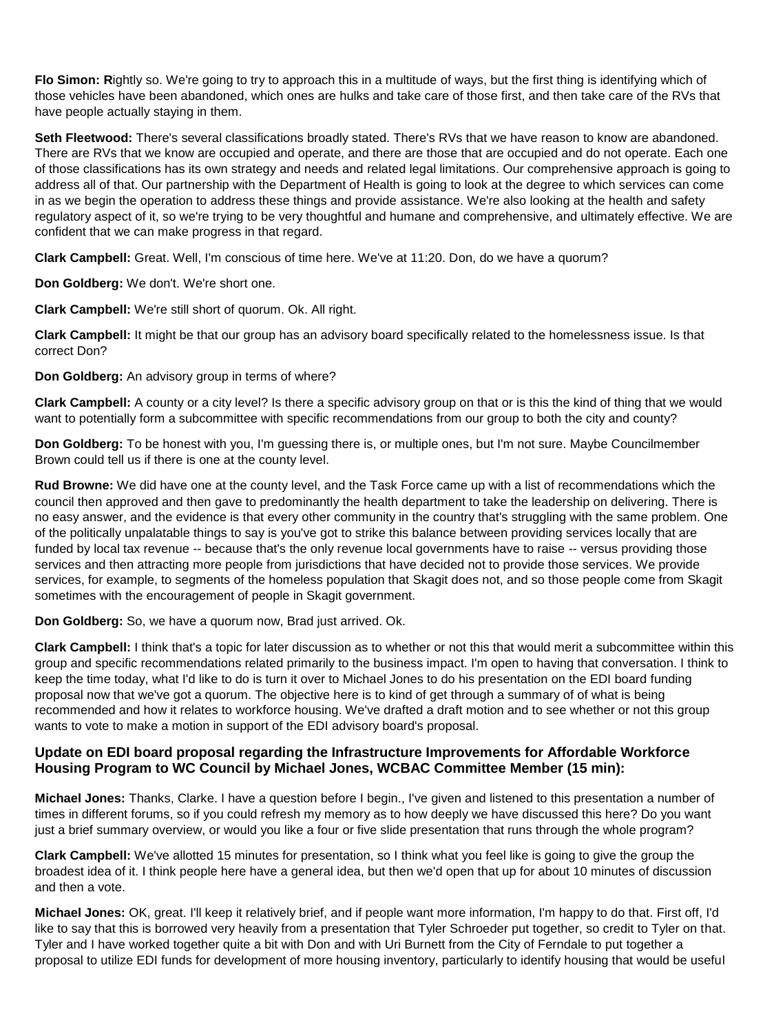**Flo Simon: R**ightly so. We're going to try to approach this in a multitude of ways, but the first thing is identifying which of those vehicles have been abandoned, which ones are hulks and take care of those first, and then take care of the RVs that have people actually staying in them.

**Seth Fleetwood:** There's several classifications broadly stated. There's RVs that we have reason to know are abandoned. There are RVs that we know are occupied and operate, and there are those that are occupied and do not operate. Each one of those classifications has its own strategy and needs and related legal limitations. Our comprehensive approach is going to address all of that. Our partnership with the Department of Health is going to look at the degree to which services can come in as we begin the operation to address these things and provide assistance. We're also looking at the health and safety regulatory aspect of it, so we're trying to be very thoughtful and humane and comprehensive, and ultimately effective. We are confident that we can make progress in that regard.

**Clark Campbell:** Great. Well, I'm conscious of time here. We've at 11:20. Don, do we have a quorum?

**Don Goldberg:** We don't. We're short one.

**Clark Campbell:** We're still short of quorum. Ok. All right.

**Clark Campbell:** It might be that our group has an advisory board specifically related to the homelessness issue. Is that correct Don?

**Don Goldberg:** An advisory group in terms of where?

**Clark Campbell:** A county or a city level? Is there a specific advisory group on that or is this the kind of thing that we would want to potentially form a subcommittee with specific recommendations from our group to both the city and county?

**Don Goldberg:** To be honest with you, I'm guessing there is, or multiple ones, but I'm not sure. Maybe Councilmember Brown could tell us if there is one at the county level.

**Rud Browne:** We did have one at the county level, and the Task Force came up with a list of recommendations which the council then approved and then gave to predominantly the health department to take the leadership on delivering. There is no easy answer, and the evidence is that every other community in the country that's struggling with the same problem. One of the politically unpalatable things to say is you've got to strike this balance between providing services locally that are funded by local tax revenue -- because that's the only revenue local governments have to raise -- versus providing those services and then attracting more people from jurisdictions that have decided not to provide those services. We provide services, for example, to segments of the homeless population that Skagit does not, and so those people come from Skagit sometimes with the encouragement of people in Skagit government.

**Don Goldberg:** So, we have a quorum now, Brad just arrived. Ok.

**Clark Campbell:** I think that's a topic for later discussion as to whether or not this that would merit a subcommittee within this group and specific recommendations related primarily to the business impact. I'm open to having that conversation. I think to keep the time today, what I'd like to do is turn it over to Michael Jones to do his presentation on the EDI board funding proposal now that we've got a quorum. The objective here is to kind of get through a summary of of what is being recommended and how it relates to workforce housing. We've drafted a draft motion and to see whether or not this group wants to vote to make a motion in support of the EDI advisory board's proposal.

## **Update on EDI board proposal regarding the Infrastructure Improvements for Affordable Workforce Housing Program to WC Council by Michael Jones, WCBAC Committee Member (15 min):**

**Michael Jones:** Thanks, Clarke. I have a question before I begin., I've given and listened to this presentation a number of times in different forums, so if you could refresh my memory as to how deeply we have discussed this here? Do you want just a brief summary overview, or would you like a four or five slide presentation that runs through the whole program?

**Clark Campbell:** We've allotted 15 minutes for presentation, so I think what you feel like is going to give the group the broadest idea of it. I think people here have a general idea, but then we'd open that up for about 10 minutes of discussion and then a vote.

**Michael Jones:** OK, great. I'll keep it relatively brief, and if people want more information, I'm happy to do that. First off, I'd like to say that this is borrowed very heavily from a presentation that Tyler Schroeder put together, so credit to Tyler on that. Tyler and I have worked together quite a bit with Don and with Uri Burnett from the City of Ferndale to put together a proposal to utilize EDI funds for development of more housing inventory, particularly to identify housing that would be useful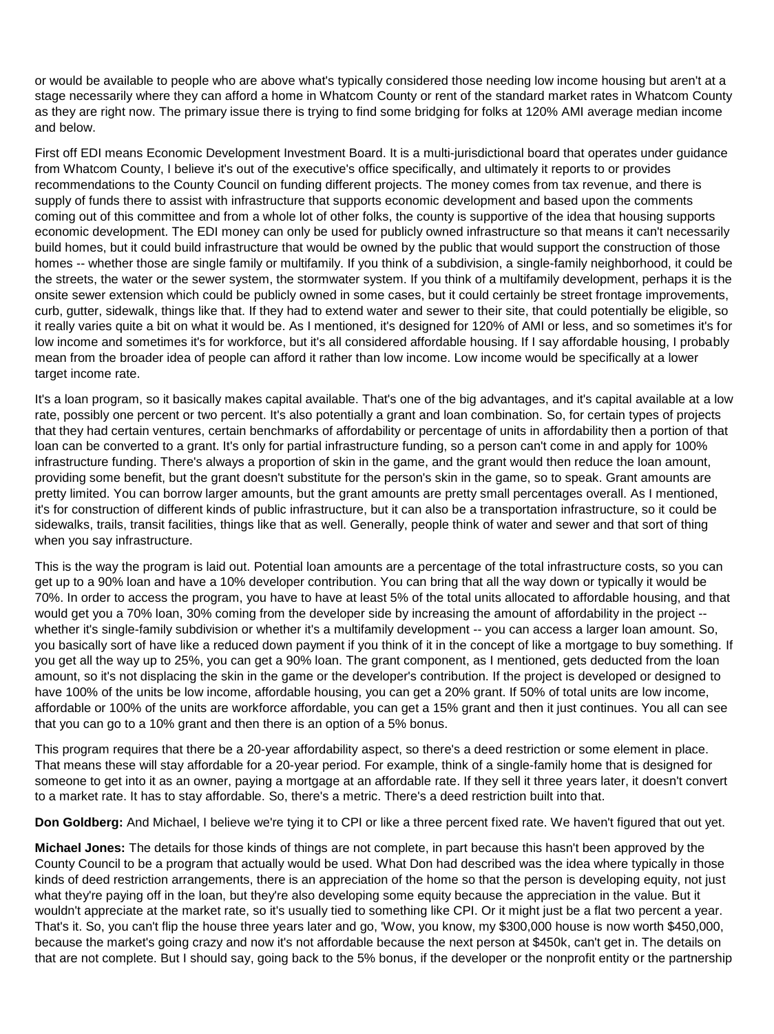or would be available to people who are above what's typically considered those needing low income housing but aren't at a stage necessarily where they can afford a home in Whatcom County or rent of the standard market rates in Whatcom County as they are right now. The primary issue there is trying to find some bridging for folks at 120% AMI average median income and below.

First off EDI means Economic Development Investment Board. It is a multi-jurisdictional board that operates under guidance from Whatcom County, I believe it's out of the executive's office specifically, and ultimately it reports to or provides recommendations to the County Council on funding different projects. The money comes from tax revenue, and there is supply of funds there to assist with infrastructure that supports economic development and based upon the comments coming out of this committee and from a whole lot of other folks, the county is supportive of the idea that housing supports economic development. The EDI money can only be used for publicly owned infrastructure so that means it can't necessarily build homes, but it could build infrastructure that would be owned by the public that would support the construction of those homes -- whether those are single family or multifamily. If you think of a subdivision, a single-family neighborhood, it could be the streets, the water or the sewer system, the stormwater system. If you think of a multifamily development, perhaps it is the onsite sewer extension which could be publicly owned in some cases, but it could certainly be street frontage improvements, curb, gutter, sidewalk, things like that. If they had to extend water and sewer to their site, that could potentially be eligible, so it really varies quite a bit on what it would be. As I mentioned, it's designed for 120% of AMI or less, and so sometimes it's for low income and sometimes it's for workforce, but it's all considered affordable housing. If I say affordable housing, I probably mean from the broader idea of people can afford it rather than low income. Low income would be specifically at a lower target income rate.

It's a loan program, so it basically makes capital available. That's one of the big advantages, and it's capital available at a low rate, possibly one percent or two percent. It's also potentially a grant and loan combination. So, for certain types of projects that they had certain ventures, certain benchmarks of affordability or percentage of units in affordability then a portion of that loan can be converted to a grant. It's only for partial infrastructure funding, so a person can't come in and apply for 100% infrastructure funding. There's always a proportion of skin in the game, and the grant would then reduce the loan amount, providing some benefit, but the grant doesn't substitute for the person's skin in the game, so to speak. Grant amounts are pretty limited. You can borrow larger amounts, but the grant amounts are pretty small percentages overall. As I mentioned, it's for construction of different kinds of public infrastructure, but it can also be a transportation infrastructure, so it could be sidewalks, trails, transit facilities, things like that as well. Generally, people think of water and sewer and that sort of thing when you say infrastructure.

This is the way the program is laid out. Potential loan amounts are a percentage of the total infrastructure costs, so you can get up to a 90% loan and have a 10% developer contribution. You can bring that all the way down or typically it would be 70%. In order to access the program, you have to have at least 5% of the total units allocated to affordable housing, and that would get you a 70% loan, 30% coming from the developer side by increasing the amount of affordability in the project - whether it's single-family subdivision or whether it's a multifamily development -- you can access a larger loan amount. So, you basically sort of have like a reduced down payment if you think of it in the concept of like a mortgage to buy something. If you get all the way up to 25%, you can get a 90% loan. The grant component, as I mentioned, gets deducted from the loan amount, so it's not displacing the skin in the game or the developer's contribution. If the project is developed or designed to have 100% of the units be low income, affordable housing, you can get a 20% grant. If 50% of total units are low income, affordable or 100% of the units are workforce affordable, you can get a 15% grant and then it just continues. You all can see that you can go to a 10% grant and then there is an option of a 5% bonus.

This program requires that there be a 20-year affordability aspect, so there's a deed restriction or some element in place. That means these will stay affordable for a 20-year period. For example, think of a single-family home that is designed for someone to get into it as an owner, paying a mortgage at an affordable rate. If they sell it three years later, it doesn't convert to a market rate. It has to stay affordable. So, there's a metric. There's a deed restriction built into that.

**Don Goldberg:** And Michael, I believe we're tying it to CPI or like a three percent fixed rate. We haven't figured that out yet.

**Michael Jones:** The details for those kinds of things are not complete, in part because this hasn't been approved by the County Council to be a program that actually would be used. What Don had described was the idea where typically in those kinds of deed restriction arrangements, there is an appreciation of the home so that the person is developing equity, not just what they're paying off in the loan, but they're also developing some equity because the appreciation in the value. But it wouldn't appreciate at the market rate, so it's usually tied to something like CPI. Or it might just be a flat two percent a year. That's it. So, you can't flip the house three years later and go, 'Wow, you know, my \$300,000 house is now worth \$450,000, because the market's going crazy and now it's not affordable because the next person at \$450k, can't get in. The details on that are not complete. But I should say, going back to the 5% bonus, if the developer or the nonprofit entity or the partnership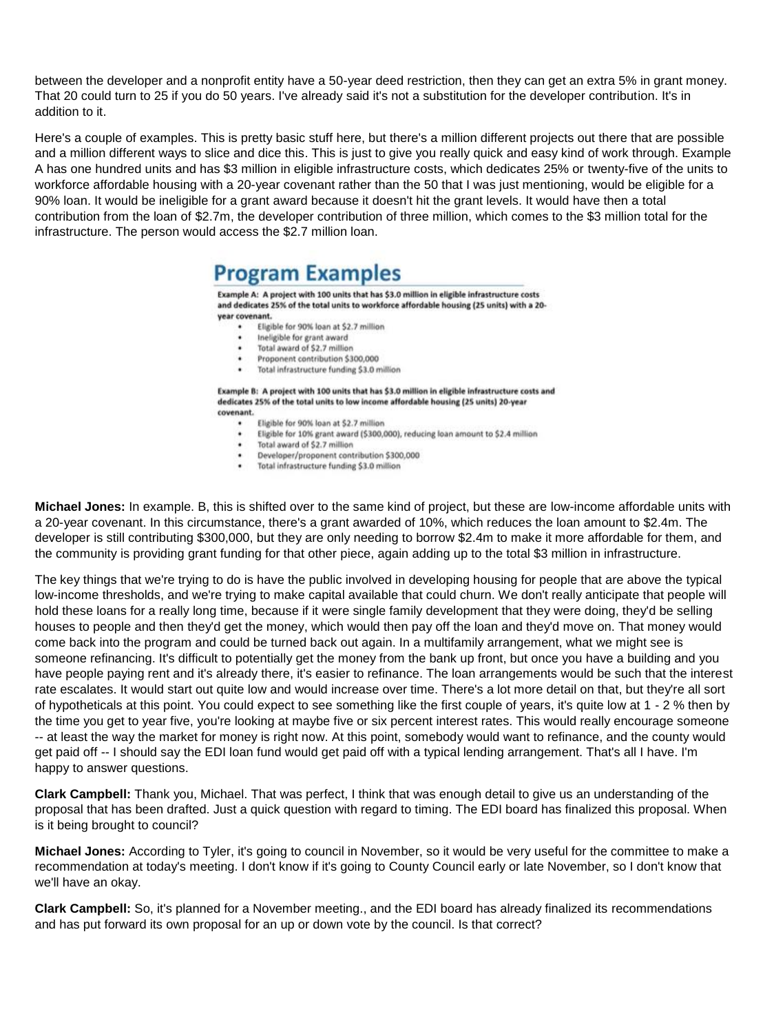between the developer and a nonprofit entity have a 50-year deed restriction, then they can get an extra 5% in grant money. That 20 could turn to 25 if you do 50 years. I've already said it's not a substitution for the developer contribution. It's in addition to it.

Here's a couple of examples. This is pretty basic stuff here, but there's a million different projects out there that are possible and a million different ways to slice and dice this. This is just to give you really quick and easy kind of work through. Example A has one hundred units and has \$3 million in eligible infrastructure costs, which dedicates 25% or twenty-five of the units to workforce affordable housing with a 20-year covenant rather than the 50 that I was just mentioning, would be eligible for a 90% loan. It would be ineligible for a grant award because it doesn't hit the grant levels. It would have then a total contribution from the loan of \$2.7m, the developer contribution of three million, which comes to the \$3 million total for the infrastructure. The person would access the \$2.7 million loan.

# **Program Examples**

Example A: A project with 100 units that has \$3.0 million in eligible infrastructure costs and dedicates 25% of the total units to workforce affordable housing (25 units) with a 20year covenant

- Eligible for 90% loan at \$2.7 million
- ٠ Ineligible for grant award
- Total award of \$2.7 million
- Proponent contribution \$300,000

Total infrastructure funding \$3.0 million

Example B: A project with 100 units that has \$3.0 million in eligible infrastructure costs and dedicates 25% of the total units to low income affordable housing (25 units) 20-year covenant.

- Eligible for 90% loan at \$2.7 million ٠
- $\ddot{\phantom{1}}$ Eligible for 10% grant award (\$300,000), reducing loan amount to \$2.4 million
	- Total award of \$2.7 million
- Developer/proponent contribution \$300,000
- Total infrastructure funding \$3.0 million

**Michael Jones:** In example. B, this is shifted over to the same kind of project, but these are low-income affordable units with a 20-year covenant. In this circumstance, there's a grant awarded of 10%, which reduces the loan amount to \$2.4m. The developer is still contributing \$300,000, but they are only needing to borrow \$2.4m to make it more affordable for them, and the community is providing grant funding for that other piece, again adding up to the total \$3 million in infrastructure.

The key things that we're trying to do is have the public involved in developing housing for people that are above the typical low-income thresholds, and we're trying to make capital available that could churn. We don't really anticipate that people will hold these loans for a really long time, because if it were single family development that they were doing, they'd be selling houses to people and then they'd get the money, which would then pay off the loan and they'd move on. That money would come back into the program and could be turned back out again. In a multifamily arrangement, what we might see is someone refinancing. It's difficult to potentially get the money from the bank up front, but once you have a building and you have people paying rent and it's already there, it's easier to refinance. The loan arrangements would be such that the interest rate escalates. It would start out quite low and would increase over time. There's a lot more detail on that, but they're all sort of hypotheticals at this point. You could expect to see something like the first couple of years, it's quite low at 1 - 2 % then by the time you get to year five, you're looking at maybe five or six percent interest rates. This would really encourage someone -- at least the way the market for money is right now. At this point, somebody would want to refinance, and the county would get paid off -- I should say the EDI loan fund would get paid off with a typical lending arrangement. That's all I have. I'm happy to answer questions.

**Clark Campbell:** Thank you, Michael. That was perfect, I think that was enough detail to give us an understanding of the proposal that has been drafted. Just a quick question with regard to timing. The EDI board has finalized this proposal. When is it being brought to council?

**Michael Jones:** According to Tyler, it's going to council in November, so it would be very useful for the committee to make a recommendation at today's meeting. I don't know if it's going to County Council early or late November, so I don't know that we'll have an okay.

**Clark Campbell:** So, it's planned for a November meeting., and the EDI board has already finalized its recommendations and has put forward its own proposal for an up or down vote by the council. Is that correct?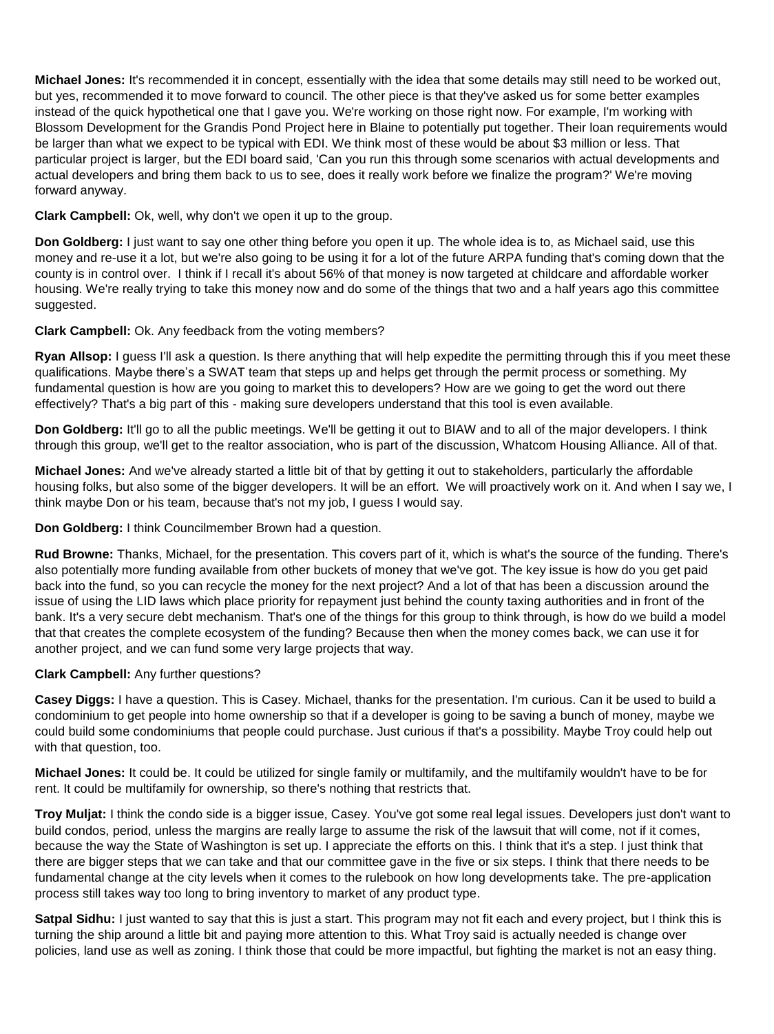**Michael Jones:** It's recommended it in concept, essentially with the idea that some details may still need to be worked out, but yes, recommended it to move forward to council. The other piece is that they've asked us for some better examples instead of the quick hypothetical one that I gave you. We're working on those right now. For example, I'm working with Blossom Development for the Grandis Pond Project here in Blaine to potentially put together. Their loan requirements would be larger than what we expect to be typical with EDI. We think most of these would be about \$3 million or less. That particular project is larger, but the EDI board said, 'Can you run this through some scenarios with actual developments and actual developers and bring them back to us to see, does it really work before we finalize the program?' We're moving forward anyway.

## **Clark Campbell:** Ok, well, why don't we open it up to the group.

**Don Goldberg:** I just want to say one other thing before you open it up. The whole idea is to, as Michael said, use this money and re-use it a lot, but we're also going to be using it for a lot of the future ARPA funding that's coming down that the county is in control over. I think if I recall it's about 56% of that money is now targeted at childcare and affordable worker housing. We're really trying to take this money now and do some of the things that two and a half years ago this committee suggested.

## **Clark Campbell:** Ok. Any feedback from the voting members?

**Ryan Allsop:** I guess I'll ask a question. Is there anything that will help expedite the permitting through this if you meet these qualifications. Maybe there's a SWAT team that steps up and helps get through the permit process or something. My fundamental question is how are you going to market this to developers? How are we going to get the word out there effectively? That's a big part of this - making sure developers understand that this tool is even available.

**Don Goldberg:** It'll go to all the public meetings. We'll be getting it out to BIAW and to all of the major developers. I think through this group, we'll get to the realtor association, who is part of the discussion, Whatcom Housing Alliance. All of that.

**Michael Jones:** And we've already started a little bit of that by getting it out to stakeholders, particularly the affordable housing folks, but also some of the bigger developers. It will be an effort. We will proactively work on it. And when I say we, I think maybe Don or his team, because that's not my job, I guess I would say.

**Don Goldberg:** I think Councilmember Brown had a question.

**Rud Browne:** Thanks, Michael, for the presentation. This covers part of it, which is what's the source of the funding. There's also potentially more funding available from other buckets of money that we've got. The key issue is how do you get paid back into the fund, so you can recycle the money for the next project? And a lot of that has been a discussion around the issue of using the LID laws which place priority for repayment just behind the county taxing authorities and in front of the bank. It's a very secure debt mechanism. That's one of the things for this group to think through, is how do we build a model that that creates the complete ecosystem of the funding? Because then when the money comes back, we can use it for another project, and we can fund some very large projects that way.

## **Clark Campbell:** Any further questions?

**Casey Diggs:** I have a question. This is Casey. Michael, thanks for the presentation. I'm curious. Can it be used to build a condominium to get people into home ownership so that if a developer is going to be saving a bunch of money, maybe we could build some condominiums that people could purchase. Just curious if that's a possibility. Maybe Troy could help out with that question, too.

**Michael Jones:** It could be. It could be utilized for single family or multifamily, and the multifamily wouldn't have to be for rent. It could be multifamily for ownership, so there's nothing that restricts that.

**Troy Muljat:** I think the condo side is a bigger issue, Casey. You've got some real legal issues. Developers just don't want to build condos, period, unless the margins are really large to assume the risk of the lawsuit that will come, not if it comes, because the way the State of Washington is set up. I appreciate the efforts on this. I think that it's a step. I just think that there are bigger steps that we can take and that our committee gave in the five or six steps. I think that there needs to be fundamental change at the city levels when it comes to the rulebook on how long developments take. The pre-application process still takes way too long to bring inventory to market of any product type.

**Satpal Sidhu:** I just wanted to say that this is just a start. This program may not fit each and every project, but I think this is turning the ship around a little bit and paying more attention to this. What Troy said is actually needed is change over policies, land use as well as zoning. I think those that could be more impactful, but fighting the market is not an easy thing.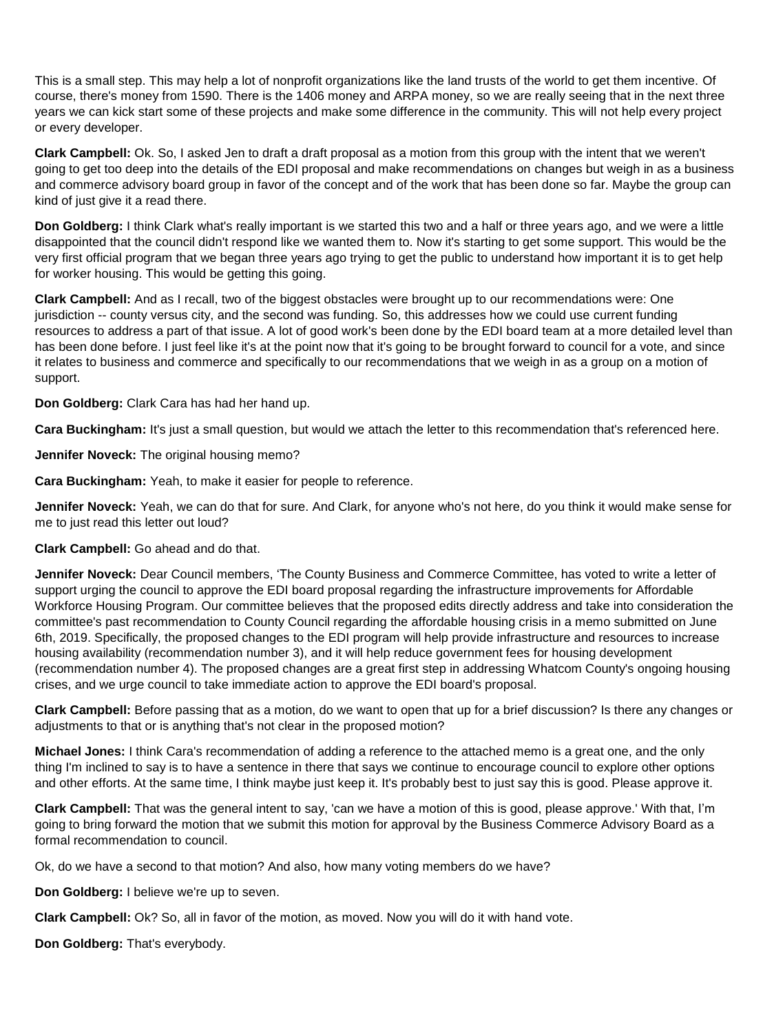This is a small step. This may help a lot of nonprofit organizations like the land trusts of the world to get them incentive. Of course, there's money from 1590. There is the 1406 money and ARPA money, so we are really seeing that in the next three years we can kick start some of these projects and make some difference in the community. This will not help every project or every developer.

**Clark Campbell:** Ok. So, I asked Jen to draft a draft proposal as a motion from this group with the intent that we weren't going to get too deep into the details of the EDI proposal and make recommendations on changes but weigh in as a business and commerce advisory board group in favor of the concept and of the work that has been done so far. Maybe the group can kind of just give it a read there.

**Don Goldberg:** I think Clark what's really important is we started this two and a half or three years ago, and we were a little disappointed that the council didn't respond like we wanted them to. Now it's starting to get some support. This would be the very first official program that we began three years ago trying to get the public to understand how important it is to get help for worker housing. This would be getting this going.

**Clark Campbell:** And as I recall, two of the biggest obstacles were brought up to our recommendations were: One jurisdiction -- county versus city, and the second was funding. So, this addresses how we could use current funding resources to address a part of that issue. A lot of good work's been done by the EDI board team at a more detailed level than has been done before. I just feel like it's at the point now that it's going to be brought forward to council for a vote, and since it relates to business and commerce and specifically to our recommendations that we weigh in as a group on a motion of support.

**Don Goldberg:** Clark Cara has had her hand up.

**Cara Buckingham:** It's just a small question, but would we attach the letter to this recommendation that's referenced here.

**Jennifer Noveck:** The original housing memo?

**Cara Buckingham:** Yeah, to make it easier for people to reference.

**Jennifer Noveck:** Yeah, we can do that for sure. And Clark, for anyone who's not here, do you think it would make sense for me to just read this letter out loud?

### **Clark Campbell:** Go ahead and do that.

**Jennifer Noveck:** Dear Council members, 'The County Business and Commerce Committee, has voted to write a letter of support urging the council to approve the EDI board proposal regarding the infrastructure improvements for Affordable Workforce Housing Program. Our committee believes that the proposed edits directly address and take into consideration the committee's past recommendation to County Council regarding the affordable housing crisis in a memo submitted on June 6th, 2019. Specifically, the proposed changes to the EDI program will help provide infrastructure and resources to increase housing availability (recommendation number 3), and it will help reduce government fees for housing development (recommendation number 4). The proposed changes are a great first step in addressing Whatcom County's ongoing housing crises, and we urge council to take immediate action to approve the EDI board's proposal.

**Clark Campbell:** Before passing that as a motion, do we want to open that up for a brief discussion? Is there any changes or adjustments to that or is anything that's not clear in the proposed motion?

**Michael Jones:** I think Cara's recommendation of adding a reference to the attached memo is a great one, and the only thing I'm inclined to say is to have a sentence in there that says we continue to encourage council to explore other options and other efforts. At the same time, I think maybe just keep it. It's probably best to just say this is good. Please approve it.

**Clark Campbell:** That was the general intent to say, 'can we have a motion of this is good, please approve.' With that, I'm going to bring forward the motion that we submit this motion for approval by the Business Commerce Advisory Board as a formal recommendation to council.

Ok, do we have a second to that motion? And also, how many voting members do we have?

**Don Goldberg:** I believe we're up to seven.

**Clark Campbell:** Ok? So, all in favor of the motion, as moved. Now you will do it with hand vote.

**Don Goldberg:** That's everybody.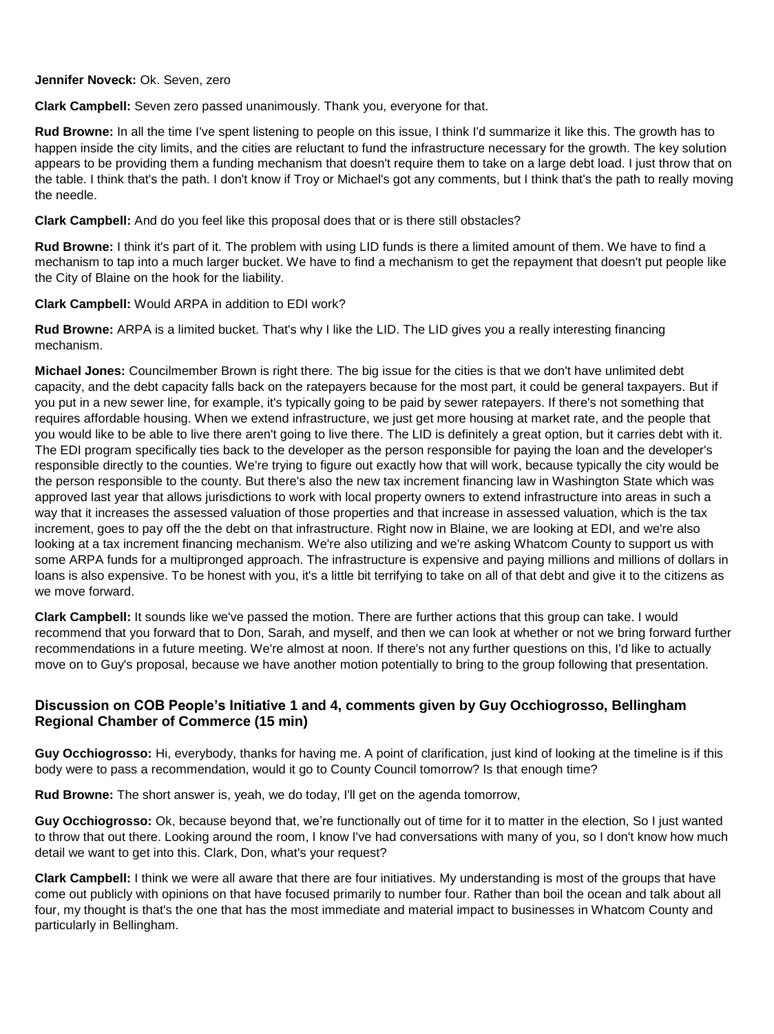#### **Jennifer Noveck:** Ok. Seven, zero

**Clark Campbell:** Seven zero passed unanimously. Thank you, everyone for that.

**Rud Browne:** In all the time I've spent listening to people on this issue, I think I'd summarize it like this. The growth has to happen inside the city limits, and the cities are reluctant to fund the infrastructure necessary for the growth. The key solution appears to be providing them a funding mechanism that doesn't require them to take on a large debt load. I just throw that on the table. I think that's the path. I don't know if Troy or Michael's got any comments, but I think that's the path to really moving the needle.

**Clark Campbell:** And do you feel like this proposal does that or is there still obstacles?

**Rud Browne:** I think it's part of it. The problem with using LID funds is there a limited amount of them. We have to find a mechanism to tap into a much larger bucket. We have to find a mechanism to get the repayment that doesn't put people like the City of Blaine on the hook for the liability.

**Clark Campbell:** Would ARPA in addition to EDI work?

**Rud Browne:** ARPA is a limited bucket. That's why I like the LID. The LID gives you a really interesting financing mechanism.

**Michael Jones:** Councilmember Brown is right there. The big issue for the cities is that we don't have unlimited debt capacity, and the debt capacity falls back on the ratepayers because for the most part, it could be general taxpayers. But if you put in a new sewer line, for example, it's typically going to be paid by sewer ratepayers. If there's not something that requires affordable housing. When we extend infrastructure, we just get more housing at market rate, and the people that you would like to be able to live there aren't going to live there. The LID is definitely a great option, but it carries debt with it. The EDI program specifically ties back to the developer as the person responsible for paying the loan and the developer's responsible directly to the counties. We're trying to figure out exactly how that will work, because typically the city would be the person responsible to the county. But there's also the new tax increment financing law in Washington State which was approved last year that allows jurisdictions to work with local property owners to extend infrastructure into areas in such a way that it increases the assessed valuation of those properties and that increase in assessed valuation, which is the tax increment, goes to pay off the the debt on that infrastructure. Right now in Blaine, we are looking at EDI, and we're also looking at a tax increment financing mechanism. We're also utilizing and we're asking Whatcom County to support us with some ARPA funds for a multipronged approach. The infrastructure is expensive and paying millions and millions of dollars in loans is also expensive. To be honest with you, it's a little bit terrifying to take on all of that debt and give it to the citizens as we move forward.

**Clark Campbell:** It sounds like we've passed the motion. There are further actions that this group can take. I would recommend that you forward that to Don, Sarah, and myself, and then we can look at whether or not we bring forward further recommendations in a future meeting. We're almost at noon. If there's not any further questions on this, I'd like to actually move on to Guy's proposal, because we have another motion potentially to bring to the group following that presentation.

## **Discussion on COB People's Initiative 1 and 4, comments given by Guy Occhiogrosso, Bellingham Regional Chamber of Commerce (15 min)**

**Guy Occhiogrosso:** Hi, everybody, thanks for having me. A point of clarification, just kind of looking at the timeline is if this body were to pass a recommendation, would it go to County Council tomorrow? Is that enough time?

**Rud Browne:** The short answer is, yeah, we do today, I'll get on the agenda tomorrow,

**Guy Occhiogrosso:** Ok, because beyond that, we're functionally out of time for it to matter in the election, So I just wanted to throw that out there. Looking around the room, I know I've had conversations with many of you, so I don't know how much detail we want to get into this. Clark, Don, what's your request?

**Clark Campbell:** I think we were all aware that there are four initiatives. My understanding is most of the groups that have come out publicly with opinions on that have focused primarily to number four. Rather than boil the ocean and talk about all four, my thought is that's the one that has the most immediate and material impact to businesses in Whatcom County and particularly in Bellingham.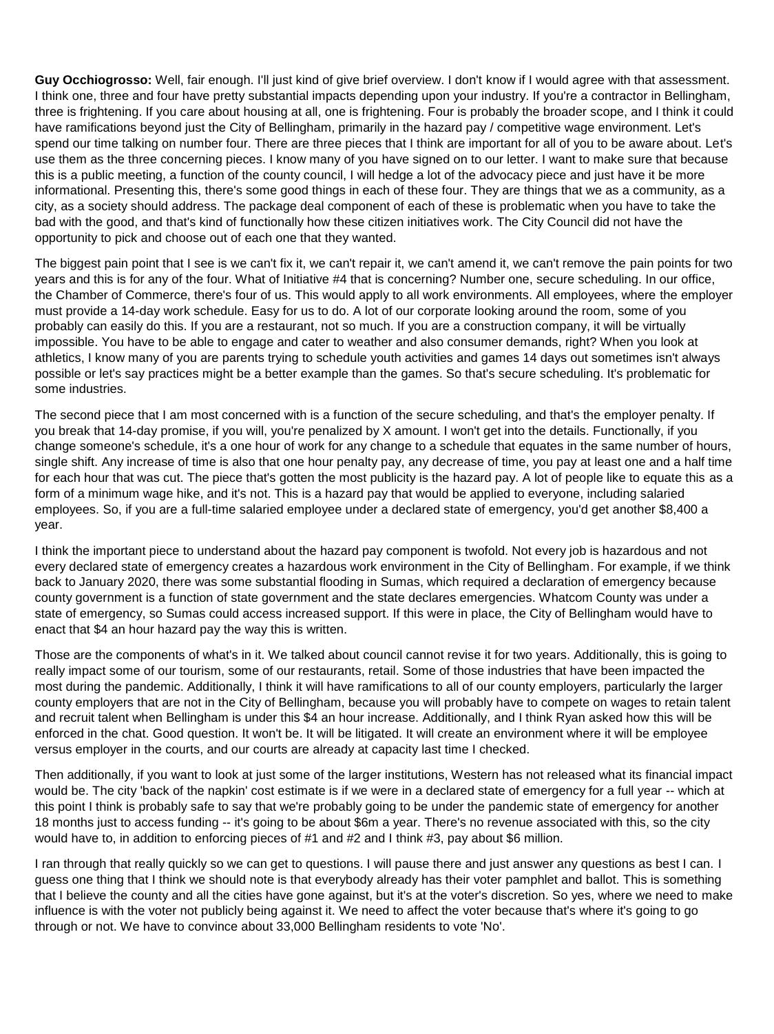**Guy Occhiogrosso:** Well, fair enough. I'll just kind of give brief overview. I don't know if I would agree with that assessment. I think one, three and four have pretty substantial impacts depending upon your industry. If you're a contractor in Bellingham, three is frightening. If you care about housing at all, one is frightening. Four is probably the broader scope, and I think it could have ramifications beyond just the City of Bellingham, primarily in the hazard pay / competitive wage environment. Let's spend our time talking on number four. There are three pieces that I think are important for all of you to be aware about. Let's use them as the three concerning pieces. I know many of you have signed on to our letter. I want to make sure that because this is a public meeting, a function of the county council, I will hedge a lot of the advocacy piece and just have it be more informational. Presenting this, there's some good things in each of these four. They are things that we as a community, as a city, as a society should address. The package deal component of each of these is problematic when you have to take the bad with the good, and that's kind of functionally how these citizen initiatives work. The City Council did not have the opportunity to pick and choose out of each one that they wanted.

The biggest pain point that I see is we can't fix it, we can't repair it, we can't amend it, we can't remove the pain points for two years and this is for any of the four. What of Initiative #4 that is concerning? Number one, secure scheduling. In our office, the Chamber of Commerce, there's four of us. This would apply to all work environments. All employees, where the employer must provide a 14-day work schedule. Easy for us to do. A lot of our corporate looking around the room, some of you probably can easily do this. If you are a restaurant, not so much. If you are a construction company, it will be virtually impossible. You have to be able to engage and cater to weather and also consumer demands, right? When you look at athletics, I know many of you are parents trying to schedule youth activities and games 14 days out sometimes isn't always possible or let's say practices might be a better example than the games. So that's secure scheduling. It's problematic for some industries.

The second piece that I am most concerned with is a function of the secure scheduling, and that's the employer penalty. If you break that 14-day promise, if you will, you're penalized by X amount. I won't get into the details. Functionally, if you change someone's schedule, it's a one hour of work for any change to a schedule that equates in the same number of hours, single shift. Any increase of time is also that one hour penalty pay, any decrease of time, you pay at least one and a half time for each hour that was cut. The piece that's gotten the most publicity is the hazard pay. A lot of people like to equate this as a form of a minimum wage hike, and it's not. This is a hazard pay that would be applied to everyone, including salaried employees. So, if you are a full-time salaried employee under a declared state of emergency, you'd get another \$8,400 a year.

I think the important piece to understand about the hazard pay component is twofold. Not every job is hazardous and not every declared state of emergency creates a hazardous work environment in the City of Bellingham. For example, if we think back to January 2020, there was some substantial flooding in Sumas, which required a declaration of emergency because county government is a function of state government and the state declares emergencies. Whatcom County was under a state of emergency, so Sumas could access increased support. If this were in place, the City of Bellingham would have to enact that \$4 an hour hazard pay the way this is written.

Those are the components of what's in it. We talked about council cannot revise it for two years. Additionally, this is going to really impact some of our tourism, some of our restaurants, retail. Some of those industries that have been impacted the most during the pandemic. Additionally, I think it will have ramifications to all of our county employers, particularly the larger county employers that are not in the City of Bellingham, because you will probably have to compete on wages to retain talent and recruit talent when Bellingham is under this \$4 an hour increase. Additionally, and I think Ryan asked how this will be enforced in the chat. Good question. It won't be. It will be litigated. It will create an environment where it will be employee versus employer in the courts, and our courts are already at capacity last time I checked.

Then additionally, if you want to look at just some of the larger institutions, Western has not released what its financial impact would be. The city 'back of the napkin' cost estimate is if we were in a declared state of emergency for a full year -- which at this point I think is probably safe to say that we're probably going to be under the pandemic state of emergency for another 18 months just to access funding -- it's going to be about \$6m a year. There's no revenue associated with this, so the city would have to, in addition to enforcing pieces of #1 and #2 and I think #3, pay about \$6 million.

I ran through that really quickly so we can get to questions. I will pause there and just answer any questions as best I can. I guess one thing that I think we should note is that everybody already has their voter pamphlet and ballot. This is something that I believe the county and all the cities have gone against, but it's at the voter's discretion. So yes, where we need to make influence is with the voter not publicly being against it. We need to affect the voter because that's where it's going to go through or not. We have to convince about 33,000 Bellingham residents to vote 'No'.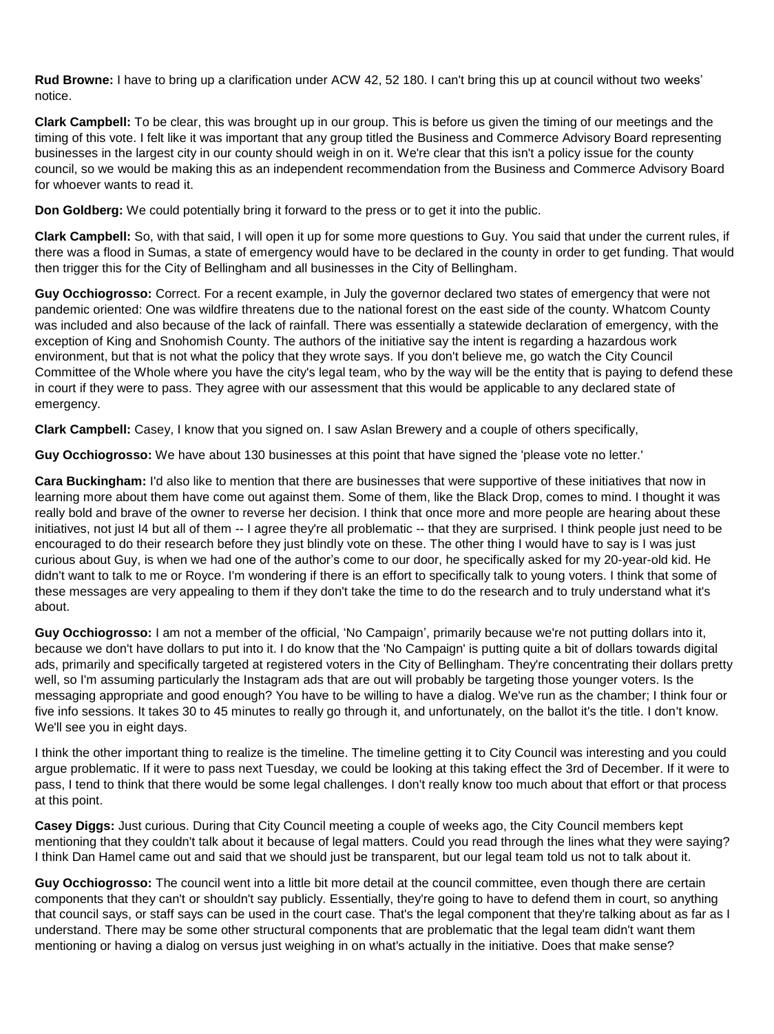**Rud Browne:** I have to bring up a clarification under ACW 42, 52 180. I can't bring this up at council without two weeks' notice.

**Clark Campbell:** To be clear, this was brought up in our group. This is before us given the timing of our meetings and the timing of this vote. I felt like it was important that any group titled the Business and Commerce Advisory Board representing businesses in the largest city in our county should weigh in on it. We're clear that this isn't a policy issue for the county council, so we would be making this as an independent recommendation from the Business and Commerce Advisory Board for whoever wants to read it.

**Don Goldberg:** We could potentially bring it forward to the press or to get it into the public.

**Clark Campbell:** So, with that said, I will open it up for some more questions to Guy. You said that under the current rules, if there was a flood in Sumas, a state of emergency would have to be declared in the county in order to get funding. That would then trigger this for the City of Bellingham and all businesses in the City of Bellingham.

**Guy Occhiogrosso:** Correct. For a recent example, in July the governor declared two states of emergency that were not pandemic oriented: One was wildfire threatens due to the national forest on the east side of the county. Whatcom County was included and also because of the lack of rainfall. There was essentially a statewide declaration of emergency, with the exception of King and Snohomish County. The authors of the initiative say the intent is regarding a hazardous work environment, but that is not what the policy that they wrote says. If you don't believe me, go watch the City Council Committee of the Whole where you have the city's legal team, who by the way will be the entity that is paying to defend these in court if they were to pass. They agree with our assessment that this would be applicable to any declared state of emergency.

**Clark Campbell:** Casey, I know that you signed on. I saw Aslan Brewery and a couple of others specifically,

**Guy Occhiogrosso:** We have about 130 businesses at this point that have signed the 'please vote no letter.'

**Cara Buckingham:** I'd also like to mention that there are businesses that were supportive of these initiatives that now in learning more about them have come out against them. Some of them, like the Black Drop, comes to mind. I thought it was really bold and brave of the owner to reverse her decision. I think that once more and more people are hearing about these initiatives, not just I4 but all of them -- I agree they're all problematic -- that they are surprised. I think people just need to be encouraged to do their research before they just blindly vote on these. The other thing I would have to say is I was just curious about Guy, is when we had one of the author's come to our door, he specifically asked for my 20-year-old kid. He didn't want to talk to me or Royce. I'm wondering if there is an effort to specifically talk to young voters. I think that some of these messages are very appealing to them if they don't take the time to do the research and to truly understand what it's about.

**Guy Occhiogrosso:** I am not a member of the official, 'No Campaign', primarily because we're not putting dollars into it, because we don't have dollars to put into it. I do know that the 'No Campaign' is putting quite a bit of dollars towards digital ads, primarily and specifically targeted at registered voters in the City of Bellingham. They're concentrating their dollars pretty well, so I'm assuming particularly the Instagram ads that are out will probably be targeting those younger voters. Is the messaging appropriate and good enough? You have to be willing to have a dialog. We've run as the chamber; I think four or five info sessions. It takes 30 to 45 minutes to really go through it, and unfortunately, on the ballot it's the title. I don't know. We'll see you in eight days.

I think the other important thing to realize is the timeline. The timeline getting it to City Council was interesting and you could argue problematic. If it were to pass next Tuesday, we could be looking at this taking effect the 3rd of December. If it were to pass, I tend to think that there would be some legal challenges. I don't really know too much about that effort or that process at this point.

**Casey Diggs:** Just curious. During that City Council meeting a couple of weeks ago, the City Council members kept mentioning that they couldn't talk about it because of legal matters. Could you read through the lines what they were saying? I think Dan Hamel came out and said that we should just be transparent, but our legal team told us not to talk about it.

**Guy Occhiogrosso:** The council went into a little bit more detail at the council committee, even though there are certain components that they can't or shouldn't say publicly. Essentially, they're going to have to defend them in court, so anything that council says, or staff says can be used in the court case. That's the legal component that they're talking about as far as I understand. There may be some other structural components that are problematic that the legal team didn't want them mentioning or having a dialog on versus just weighing in on what's actually in the initiative. Does that make sense?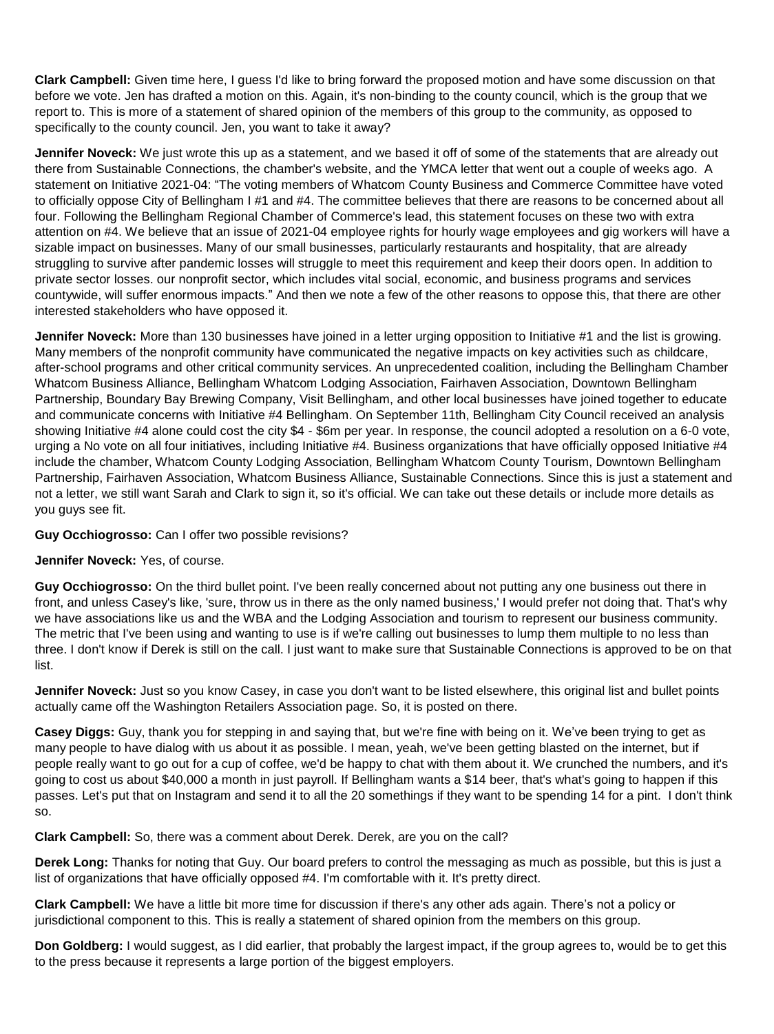**Clark Campbell:** Given time here, I guess I'd like to bring forward the proposed motion and have some discussion on that before we vote. Jen has drafted a motion on this. Again, it's non-binding to the county council, which is the group that we report to. This is more of a statement of shared opinion of the members of this group to the community, as opposed to specifically to the county council. Jen, you want to take it away?

**Jennifer Noveck:** We just wrote this up as a statement, and we based it off of some of the statements that are already out there from Sustainable Connections, the chamber's website, and the YMCA letter that went out a couple of weeks ago. A statement on Initiative 2021-04: "The voting members of Whatcom County Business and Commerce Committee have voted to officially oppose City of Bellingham I #1 and #4. The committee believes that there are reasons to be concerned about all four. Following the Bellingham Regional Chamber of Commerce's lead, this statement focuses on these two with extra attention on #4. We believe that an issue of 2021-04 employee rights for hourly wage employees and gig workers will have a sizable impact on businesses. Many of our small businesses, particularly restaurants and hospitality, that are already struggling to survive after pandemic losses will struggle to meet this requirement and keep their doors open. In addition to private sector losses. our nonprofit sector, which includes vital social, economic, and business programs and services countywide, will suffer enormous impacts." And then we note a few of the other reasons to oppose this, that there are other interested stakeholders who have opposed it.

**Jennifer Noveck:** More than 130 businesses have joined in a letter urging opposition to Initiative #1 and the list is growing. Many members of the nonprofit community have communicated the negative impacts on key activities such as childcare, after-school programs and other critical community services. An unprecedented coalition, including the Bellingham Chamber Whatcom Business Alliance, Bellingham Whatcom Lodging Association, Fairhaven Association, Downtown Bellingham Partnership, Boundary Bay Brewing Company, Visit Bellingham, and other local businesses have joined together to educate and communicate concerns with Initiative #4 Bellingham. On September 11th, Bellingham City Council received an analysis showing Initiative #4 alone could cost the city \$4 - \$6m per year. In response, the council adopted a resolution on a 6-0 vote, urging a No vote on all four initiatives, including Initiative #4. Business organizations that have officially opposed Initiative #4 include the chamber, Whatcom County Lodging Association, Bellingham Whatcom County Tourism, Downtown Bellingham Partnership, Fairhaven Association, Whatcom Business Alliance, Sustainable Connections. Since this is just a statement and not a letter, we still want Sarah and Clark to sign it, so it's official. We can take out these details or include more details as you guys see fit.

**Guy Occhiogrosso:** Can I offer two possible revisions?

## **Jennifer Noveck:** Yes, of course.

**Guy Occhiogrosso:** On the third bullet point. I've been really concerned about not putting any one business out there in front, and unless Casey's like, 'sure, throw us in there as the only named business,' I would prefer not doing that. That's why we have associations like us and the WBA and the Lodging Association and tourism to represent our business community. The metric that I've been using and wanting to use is if we're calling out businesses to lump them multiple to no less than three. I don't know if Derek is still on the call. I just want to make sure that Sustainable Connections is approved to be on that list.

**Jennifer Noveck:** Just so you know Casey, in case you don't want to be listed elsewhere, this original list and bullet points actually came off the Washington Retailers Association page. So, it is posted on there.

**Casey Diggs:** Guy, thank you for stepping in and saying that, but we're fine with being on it. We've been trying to get as many people to have dialog with us about it as possible. I mean, yeah, we've been getting blasted on the internet, but if people really want to go out for a cup of coffee, we'd be happy to chat with them about it. We crunched the numbers, and it's going to cost us about \$40,000 a month in just payroll. If Bellingham wants a \$14 beer, that's what's going to happen if this passes. Let's put that on Instagram and send it to all the 20 somethings if they want to be spending 14 for a pint. I don't think so.

**Clark Campbell:** So, there was a comment about Derek. Derek, are you on the call?

**Derek Long:** Thanks for noting that Guy. Our board prefers to control the messaging as much as possible, but this is just a list of organizations that have officially opposed #4. I'm comfortable with it. It's pretty direct.

**Clark Campbell:** We have a little bit more time for discussion if there's any other ads again. There's not a policy or jurisdictional component to this. This is really a statement of shared opinion from the members on this group.

**Don Goldberg:** I would suggest, as I did earlier, that probably the largest impact, if the group agrees to, would be to get this to the press because it represents a large portion of the biggest employers.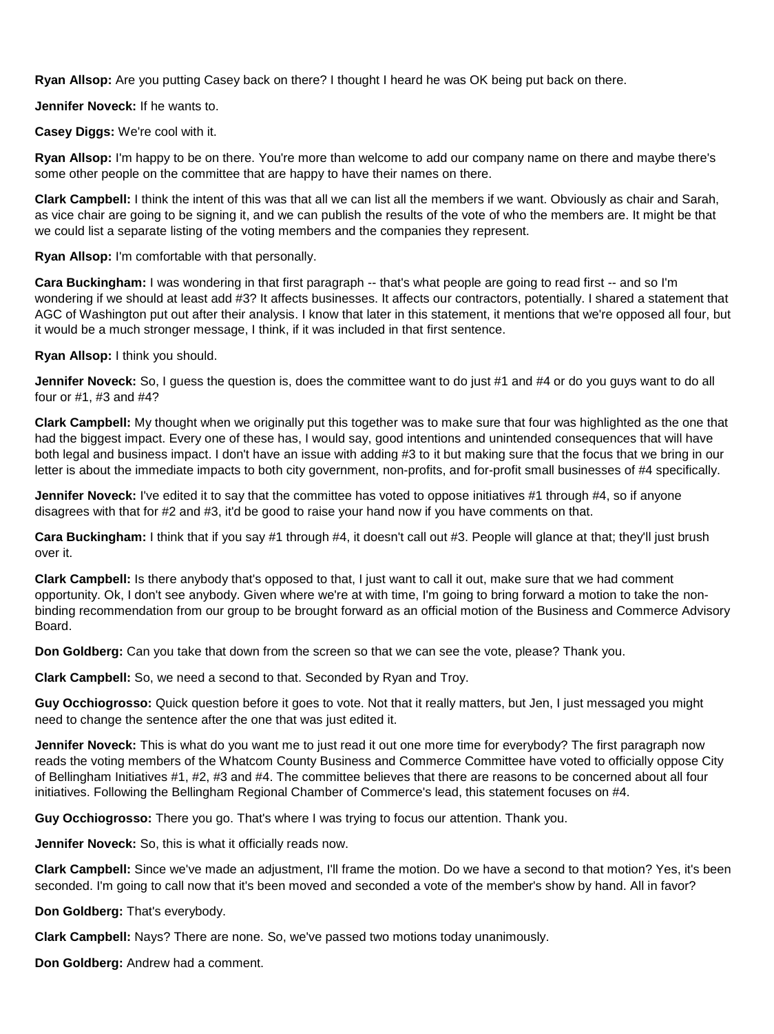**Ryan Allsop:** Are you putting Casey back on there? I thought I heard he was OK being put back on there.

**Jennifer Noveck:** If he wants to.

**Casey Diggs:** We're cool with it.

**Ryan Allsop:** I'm happy to be on there. You're more than welcome to add our company name on there and maybe there's some other people on the committee that are happy to have their names on there.

**Clark Campbell:** I think the intent of this was that all we can list all the members if we want. Obviously as chair and Sarah, as vice chair are going to be signing it, and we can publish the results of the vote of who the members are. It might be that we could list a separate listing of the voting members and the companies they represent.

**Ryan Allsop:** I'm comfortable with that personally.

**Cara Buckingham:** I was wondering in that first paragraph -- that's what people are going to read first -- and so I'm wondering if we should at least add #3? It affects businesses. It affects our contractors, potentially. I shared a statement that AGC of Washington put out after their analysis. I know that later in this statement, it mentions that we're opposed all four, but it would be a much stronger message, I think, if it was included in that first sentence.

**Ryan Allsop:** I think you should.

**Jennifer Noveck:** So, I guess the question is, does the committee want to do just #1 and #4 or do you guys want to do all four or #1, #3 and #4?

**Clark Campbell:** My thought when we originally put this together was to make sure that four was highlighted as the one that had the biggest impact. Every one of these has, I would say, good intentions and unintended consequences that will have both legal and business impact. I don't have an issue with adding #3 to it but making sure that the focus that we bring in our letter is about the immediate impacts to both city government, non-profits, and for-profit small businesses of #4 specifically.

**Jennifer Noveck:** I've edited it to say that the committee has voted to oppose initiatives #1 through #4, so if anyone disagrees with that for #2 and #3, it'd be good to raise your hand now if you have comments on that.

**Cara Buckingham:** I think that if you say #1 through #4, it doesn't call out #3. People will glance at that; they'll just brush over it.

**Clark Campbell:** Is there anybody that's opposed to that, I just want to call it out, make sure that we had comment opportunity. Ok, I don't see anybody. Given where we're at with time, I'm going to bring forward a motion to take the nonbinding recommendation from our group to be brought forward as an official motion of the Business and Commerce Advisory Board.

**Don Goldberg:** Can you take that down from the screen so that we can see the vote, please? Thank you.

**Clark Campbell:** So, we need a second to that. Seconded by Ryan and Troy.

**Guy Occhiogrosso:** Quick question before it goes to vote. Not that it really matters, but Jen, I just messaged you might need to change the sentence after the one that was just edited it.

**Jennifer Noveck:** This is what do you want me to just read it out one more time for everybody? The first paragraph now reads the voting members of the Whatcom County Business and Commerce Committee have voted to officially oppose City of Bellingham Initiatives #1, #2, #3 and #4. The committee believes that there are reasons to be concerned about all four initiatives. Following the Bellingham Regional Chamber of Commerce's lead, this statement focuses on #4.

**Guy Occhiogrosso:** There you go. That's where I was trying to focus our attention. Thank you.

**Jennifer Noveck:** So, this is what it officially reads now.

**Clark Campbell:** Since we've made an adjustment, I'll frame the motion. Do we have a second to that motion? Yes, it's been seconded. I'm going to call now that it's been moved and seconded a vote of the member's show by hand. All in favor?

**Don Goldberg:** That's everybody.

**Clark Campbell:** Nays? There are none. So, we've passed two motions today unanimously.

**Don Goldberg:** Andrew had a comment.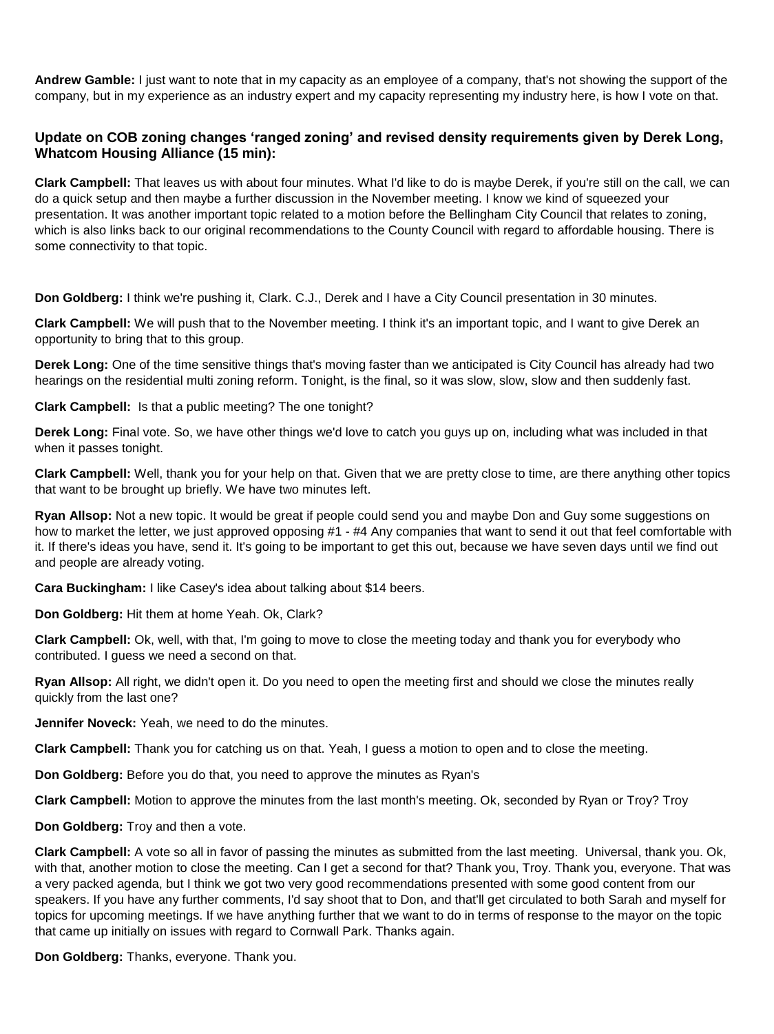**Andrew Gamble:** I just want to note that in my capacity as an employee of a company, that's not showing the support of the company, but in my experience as an industry expert and my capacity representing my industry here, is how I vote on that.

## **Update on COB zoning changes 'ranged zoning' and revised density requirements given by Derek Long, Whatcom Housing Alliance (15 min):**

**Clark Campbell:** That leaves us with about four minutes. What I'd like to do is maybe Derek, if you're still on the call, we can do a quick setup and then maybe a further discussion in the November meeting. I know we kind of squeezed your presentation. It was another important topic related to a motion before the Bellingham City Council that relates to zoning, which is also links back to our original recommendations to the County Council with regard to affordable housing. There is some connectivity to that topic.

**Don Goldberg:** I think we're pushing it, Clark. C.J., Derek and I have a City Council presentation in 30 minutes.

**Clark Campbell:** We will push that to the November meeting. I think it's an important topic, and I want to give Derek an opportunity to bring that to this group.

**Derek Long:** One of the time sensitive things that's moving faster than we anticipated is City Council has already had two hearings on the residential multi zoning reform. Tonight, is the final, so it was slow, slow, slow and then suddenly fast.

**Clark Campbell:** Is that a public meeting? The one tonight?

**Derek Long:** Final vote. So, we have other things we'd love to catch you guys up on, including what was included in that when it passes tonight.

**Clark Campbell:** Well, thank you for your help on that. Given that we are pretty close to time, are there anything other topics that want to be brought up briefly. We have two minutes left.

**Ryan Allsop:** Not a new topic. It would be great if people could send you and maybe Don and Guy some suggestions on how to market the letter, we just approved opposing #1 - #4 Any companies that want to send it out that feel comfortable with it. If there's ideas you have, send it. It's going to be important to get this out, because we have seven days until we find out and people are already voting.

**Cara Buckingham:** I like Casey's idea about talking about \$14 beers.

**Don Goldberg:** Hit them at home Yeah. Ok, Clark?

**Clark Campbell:** Ok, well, with that, I'm going to move to close the meeting today and thank you for everybody who contributed. I guess we need a second on that.

**Ryan Allsop:** All right, we didn't open it. Do you need to open the meeting first and should we close the minutes really quickly from the last one?

**Jennifer Noveck:** Yeah, we need to do the minutes.

**Clark Campbell:** Thank you for catching us on that. Yeah, I guess a motion to open and to close the meeting.

**Don Goldberg:** Before you do that, you need to approve the minutes as Ryan's

**Clark Campbell:** Motion to approve the minutes from the last month's meeting. Ok, seconded by Ryan or Troy? Troy

**Don Goldberg:** Troy and then a vote.

**Clark Campbell:** A vote so all in favor of passing the minutes as submitted from the last meeting. Universal, thank you. Ok, with that, another motion to close the meeting. Can I get a second for that? Thank you, Troy. Thank you, everyone. That was a very packed agenda, but I think we got two very good recommendations presented with some good content from our speakers. If you have any further comments, I'd say shoot that to Don, and that'll get circulated to both Sarah and myself for topics for upcoming meetings. If we have anything further that we want to do in terms of response to the mayor on the topic that came up initially on issues with regard to Cornwall Park. Thanks again.

**Don Goldberg:** Thanks, everyone. Thank you.